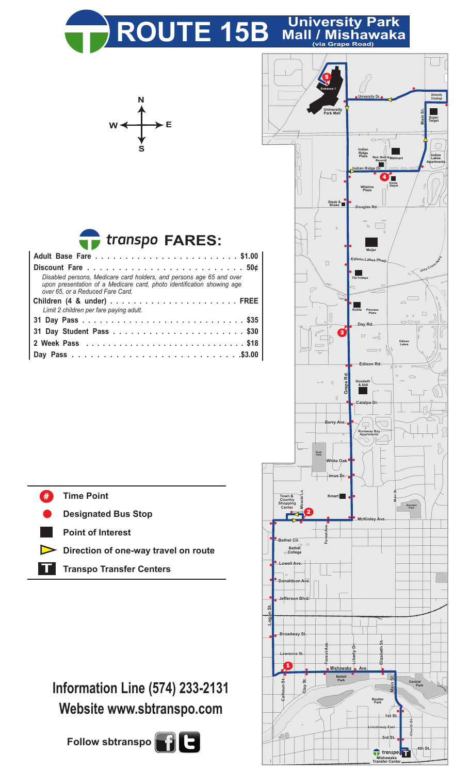

| transpo FARES: |  |
|----------------|--|
|----------------|--|

| Disabled persons, Medicare card holders, and persons age 65 and over<br>upon presentation of a Medicare card, photo identification showing age<br>over 65, or a Reduced Fare Card. |  |  |  |  |  |  |  |  |
|------------------------------------------------------------------------------------------------------------------------------------------------------------------------------------|--|--|--|--|--|--|--|--|
|                                                                                                                                                                                    |  |  |  |  |  |  |  |  |
| Limit 2 children per fare paying adult.                                                                                                                                            |  |  |  |  |  |  |  |  |
|                                                                                                                                                                                    |  |  |  |  |  |  |  |  |
|                                                                                                                                                                                    |  |  |  |  |  |  |  |  |
|                                                                                                                                                                                    |  |  |  |  |  |  |  |  |
|                                                                                                                                                                                    |  |  |  |  |  |  |  |  |
|                                                                                                                                                                                    |  |  |  |  |  |  |  |  |



## **Information Line (574) 233-2131 Website www.sbtranspo.com**

**Follow sbtranspo**